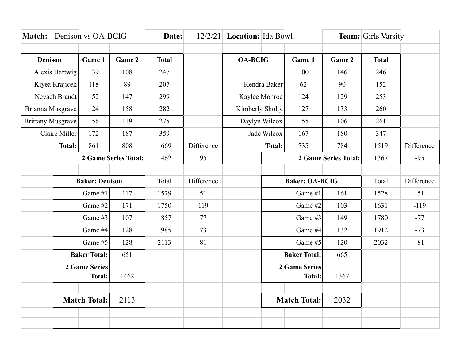| <b>Match:</b>            |                       | Denison vs OA-BCIG |              | Date:      |                | $12/2/21$ Location: Ida Bowl |                      |                      | <b>Team:</b> Girls Varsity |            |            |
|--------------------------|-----------------------|--------------------|--------------|------------|----------------|------------------------------|----------------------|----------------------|----------------------------|------------|------------|
|                          |                       |                    |              |            |                |                              |                      |                      |                            |            |            |
| <b>Denison</b><br>Game 1 |                       | Game 2             | <b>Total</b> |            | <b>OA-BCIG</b> |                              | Game 1               | Game 2               | <b>Total</b>               |            |            |
| Alexis Hartwig           |                       | 139                | 108          | 247        |                |                              |                      | 100                  | 146                        | 246        |            |
| Kiyea Krajicek           |                       | 118                | 89           | 207        |                | Kendra Baker                 |                      | 62                   | 90                         | 152        |            |
| Nevaeh Brandt            |                       | 152                | 147          | 299        |                | Kaylee Monroe                |                      | 124                  | 129                        | 253        |            |
| Brianna Musgrave         |                       | 124                | 158          | 282        |                | Kimberly Sholty              |                      | 127                  | 133                        | 260        |            |
| <b>Brittany Musgrave</b> |                       | 156                | 119          | 275        |                | Daylyn Wilcox                |                      | 155                  | 106                        | 261        |            |
|                          | Claire Miller         | 172                | 187          | 359        |                | Jade Wilcox                  |                      | 167                  | 180                        | 347        |            |
|                          | <b>Total:</b>         | 861                | 808          | 1669       | Difference     |                              | <b>Total:</b>        | 735                  | 784                        | 1519       | Difference |
|                          | 2 Game Series Total:  |                    | 1462         | 95         |                |                              |                      | 2 Game Series Total: | 1367                       | $-95$      |            |
|                          |                       |                    |              |            |                |                              |                      |                      |                            |            |            |
|                          | <b>Baker: Denison</b> |                    | Total        | Difference |                | <b>Baker: OA-BCIG</b>        |                      |                      | Total                      | Difference |            |
|                          | Game #1<br>117        |                    |              | 1579       | 51             |                              | Game #1              |                      | 161                        | 1528       | $-51$      |
|                          | Game #2               |                    | 171          | 1750       | 119            |                              | Game #2              |                      | 103                        | 1631       | $-119$     |
|                          | Game #3               |                    | 107          | 1857       | 77             |                              | Game #3              |                      | 149                        | 1780       | $-77$      |
|                          | Game #4               |                    | 128          | 1985       | 73             |                              | Game #4              |                      | 132                        | 1912       | $-73$      |
|                          | Game #5               |                    | 128          | 2113       | 81             |                              | Game #5              |                      | 120                        | 2032       | $-81$      |
|                          | <b>Baker Total:</b>   |                    | 651          |            |                |                              | <b>Baker Total:</b>  |                      | 665                        |            |            |
|                          | <b>2 Game Series</b>  |                    |              |            |                |                              | <b>2 Game Series</b> |                      |                            |            |            |
|                          | <b>Total:</b>         |                    | 1462         |            |                |                              |                      | <b>Total:</b>        | 1367                       |            |            |
|                          |                       |                    |              |            |                |                              |                      |                      |                            |            |            |
|                          | <b>Match Total:</b>   |                    | 2113         |            |                |                              | <b>Match Total:</b>  |                      | 2032                       |            |            |
|                          |                       |                    |              |            |                |                              |                      |                      |                            |            |            |
|                          |                       |                    |              |            |                |                              |                      |                      |                            |            |            |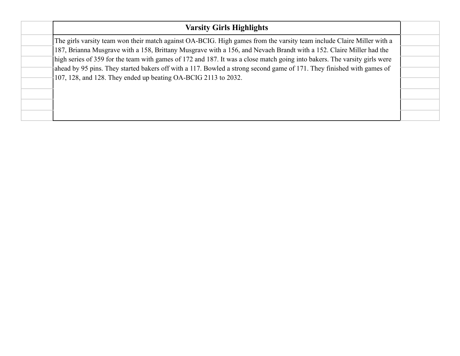| <b>Varsity Girls Highlights</b>                                                                                           |  |
|---------------------------------------------------------------------------------------------------------------------------|--|
| The girls varsity team won their match against OA-BCIG. High games from the varsity team include Claire Miller with a     |  |
| 187, Brianna Musgrave with a 158, Brittany Musgrave with a 156, and Nevaeh Brandt with a 152. Claire Miller had the       |  |
| high series of 359 for the team with games of 172 and 187. It was a close match going into bakers. The varsity girls were |  |
| ahead by 95 pins. They started bakers off with a 117. Bowled a strong second game of 171. They finished with games of     |  |
| 107, 128, and 128. They ended up beating OA-BCIG 2113 to 2032.                                                            |  |
|                                                                                                                           |  |
|                                                                                                                           |  |
|                                                                                                                           |  |
|                                                                                                                           |  |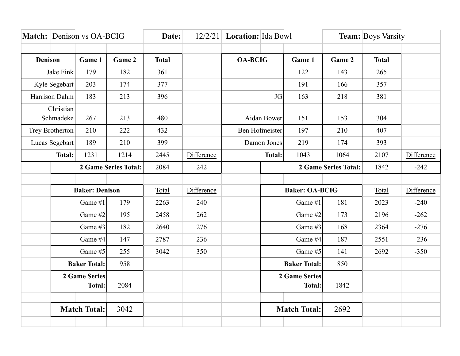|                        |                                       | Match: Denison vs OA-BCIG |                             | Date:        | 12/2/21    | Location: Ida Bowl |                       |                                       | <b>Team:</b> Boys Varsity |              |            |
|------------------------|---------------------------------------|---------------------------|-----------------------------|--------------|------------|--------------------|-----------------------|---------------------------------------|---------------------------|--------------|------------|
|                        |                                       |                           |                             |              |            |                    |                       |                                       |                           |              |            |
| <b>Denison</b>         |                                       | Game 1                    | Game 2                      | <b>Total</b> |            | <b>OA-BCIG</b>     |                       | Game 1                                | Game 2                    | <b>Total</b> |            |
| Jake Fink              |                                       | 179                       | 182                         | 361          |            |                    |                       | 122                                   | 143                       | 265          |            |
| Kyle Segebart          |                                       | 203                       | 174                         | 377          |            |                    |                       | 191                                   | 166                       | 357          |            |
|                        | Harrison Dahm                         | 183                       | 213                         | 396          |            | JG                 |                       | 163                                   | 218                       | 381          |            |
| Christian<br>Schmadeke |                                       | 267                       | 213                         | 480          |            | Aidan Bower        |                       | 151                                   | 153                       | 304          |            |
|                        | Trey Brotherton                       | 210                       | 222                         | 432          |            | Ben Hofmeister     |                       | 197                                   | 210                       | 407          |            |
|                        | Lucas Segebart                        | 189                       | 210                         | 399          |            | Damon Jones        |                       | 219                                   | 174                       | 393          |            |
|                        | <b>Total:</b>                         | 1231                      | 1214                        | 2445         | Difference |                    | <b>Total:</b>         | 1043                                  | 1064                      | 2107         | Difference |
|                        |                                       |                           | <b>2 Game Series Total:</b> | 2084         | 242        |                    |                       |                                       | 2 Game Series Total:      | 1842         | $-242$     |
|                        |                                       |                           |                             |              |            |                    |                       |                                       |                           |              |            |
|                        | <b>Baker: Denison</b>                 |                           |                             | Total        | Difference |                    | <b>Baker: OA-BCIG</b> |                                       |                           | Total        | Difference |
|                        | Game #1                               |                           | 179                         | 2263         | 240        |                    | Game #1               |                                       | 181                       | 2023         | $-240$     |
|                        | Game #2                               |                           | 195                         | 2458         | 262        |                    | Game #2               |                                       | 173                       | 2196         | $-262$     |
|                        |                                       | Game #3                   | 182                         | 2640         | 276        |                    | Game #3               |                                       | 168                       | 2364         | $-276$     |
|                        | Game #4                               |                           | 147                         | 2787         | 236        |                    | Game #4               |                                       | 187                       | 2551         | $-236$     |
|                        | Game #5                               |                           | 255                         | 3042         | 350        |                    | Game #5               |                                       | 141                       | 2692         | $-350$     |
|                        | <b>Baker Total:</b>                   |                           | 958                         |              |            |                    | <b>Baker Total:</b>   |                                       | 850                       |              |            |
|                        | <b>2 Game Series</b><br><b>Total:</b> |                           | 2084                        |              |            |                    |                       | <b>2 Game Series</b><br><b>Total:</b> | 1842                      |              |            |
|                        |                                       | <b>Match Total:</b>       | 3042                        |              |            |                    |                       | <b>Match Total:</b>                   | 2692                      |              |            |